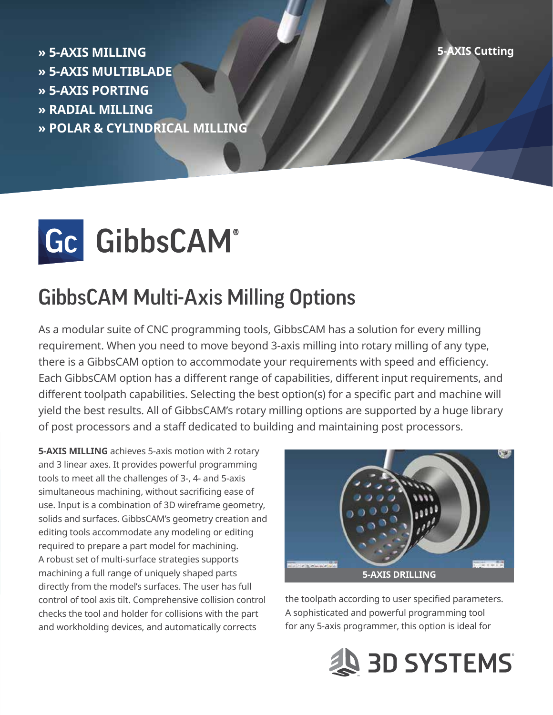**Cutting AXIS MILLING AXIST CUTTER CULTURE AND AXIST CUTTER CUTTER CUTTER CUTTER » 5-AXIS MULTIBLADE » 5-AXIS PORTING MILLING RADIAL» » POLAR & CYLINDRICAL MILLING** 



## **GibbsCAM Multi-Axis Milling Options**

As a modular suite of CNC programming tools, GibbsCAM has a solution for every milling requirement. When you need to move beyond 3-axis milling into rotary milling of any type, there is a GibbsCAM option to accommodate your requirements with speed and efficiency. Each GibbsCAM option has a different range of capabilities, different input requirements, and different toolpath capabilities. Selecting the best option(s) for a specific part and machine will yield the best results. All of GibbsCAM's rotary milling options are supported by a huge library of post processors and a staff dedicated to building and maintaining post processors.

5-AXIS MILLING achieves 5-axis motion with 2 rotary and 3 linear axes. It provides powerful programming tools to meet all the challenges of 3-, 4- and 5-axis simultaneous machining, without sacrificing ease of use. Input is a combination of 3D wireframe geometry, solids and surfaces. GibbsCAM's geometry creation and editing tools accommodate any modeling or editing required to prepare a part model for machining. A robust set of multi-surface strategies supports machining a full range of uniquely shaped parts directly from the model's surfaces. The user has full control of tool axis tilt. Comprehensive collision control checks the tool and holder for collisions with the part and workholding devices, and automatically corrects



the toolpath according to user specified parameters. A sophisticated and powerful programming tool for any 5-axis programmer, this option is ideal for

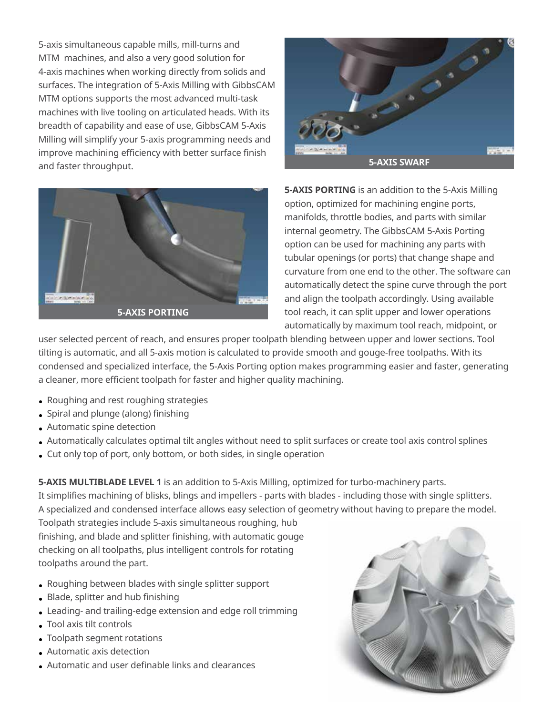5-axis simultaneous capable mills, mill-turns and MTM machines, and also a very good solution for 4-axis machines when working directly from solids and surfaces. The integration of 5-Axis Milling with GibbsCAM MTM options supports the most advanced multi-task machines with live tooling on articulated heads. With its breadth of capability and ease of use, GibbsCAM 5-Axis Milling will simplify your 5-axis programming needs and improve machining efficiency with better surface finish and faster throughput.





**5-AXIS PORTING** is an addition to the 5-Axis Milling option, optimized for machining engine ports, manifolds, throttle bodies, and parts with similar internal geometry. The GibbsCAM 5-Axis Porting option can be used for machining any parts with tubular openings (or ports) that change shape and curvature from one end to the other. The software can automatically detect the spine curve through the port and align the toolpath accordingly. Using available tool reach, it can split upper and lower operations automatically by maximum tool reach, midpoint, or

user selected percent of reach, and ensures proper toolpath blending between upper and lower sections. Tool tilting is automatic, and all 5-axis motion is calculated to provide smooth and gouge-free toolpaths. With its condensed and specialized interface, the 5-Axis Porting option makes programming easier and faster, generating a cleaner, more efficient toolpath for faster and higher quality machining.

- Roughing and rest roughing strategies
- Spiral and plunge (along) finishing
- Automatic spine detection
- Automatically calculates optimal tilt angles without need to split surfaces or create tool axis control splines
- Cut only top of port, only bottom, or both sides, in single operation

5-AXIS MULTIBLADE LEVEL 1 is an addition to 5-Axis Milling, optimized for turbo-machinery parts. It simplifies machining of blisks, blings and impellers - parts with blades - including those with single splitters. A specialized and condensed interface allows easy selection of geometry without having to prepare the model.

Toolpath strategies include 5-axis simultaneous roughing, hub finishing, and blade and splitter finishing, with automatic gouge checking on all toolpaths, plus intelligent controls for rotating toolpaths around the part.

- Roughing between blades with single splitter support
- $\bullet$  Blade, splitter and hub finishing
- Leading- and trailing-edge extension and edge roll trimming
- Tool axis tilt controls
- Toolpath segment rotations
- Automatic axis detection
- **Automatic and user definable links and clearances**

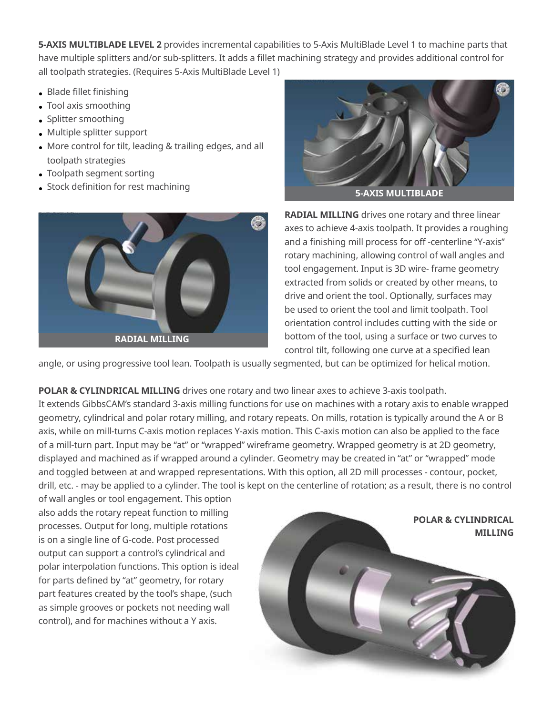5-AXIS MULTIBLADE LEVEL 2 provides incremental capabilities to 5-Axis MultiBlade Level 1 to machine parts that have multiple splitters and/or sub-splitters. It adds a fillet machining strategy and provides additional control for all toolpath strategies. (Requires 5-Axis MultiBlade Level 1)

- Blade fillet finishing
- Tool axis smoothing
- Splitter smoothing
- Multiple splitter support
- More control for tilt, leading & trailing edges, and all toolpath strategies
- Toolpath segment sorting
- Stock definition for rest machining





**RADIAL MILLING** drives one rotary and three linear axes to achieve 4-axis toolpath. It provides a roughing and a finishing mill process for off -centerline "Y-axis" rotary machining, allowing control of wall angles and tool engagement. Input is 3D wire-frame geometry extracted from solids or created by other means, to drive and orient the tool. Optionally, surfaces may be used to orient the tool and limit toolpath. Tool orientation control includes cutting with the side or bottom of the tool, using a surface or two curves to control tilt, following one curve at a specified lean

angle, or using progressive tool lean. Toolpath is usually segmented, but can be optimized for helical motion.

POLAR & CYLINDRICAL MILLING drives one rotary and two linear axes to achieve 3-axis toolpath.

It extends GibbsCAM's standard 3-axis milling functions for use on machines with a rotary axis to enable wrapped geometry, cylindrical and polar rotary milling, and rotary repeats. On mills, rotation is typically around the A or B axis, while on mill-turns C-axis motion replaces Y-axis motion. This C-axis motion can also be applied to the face of a mill-turn part. Input may be "at" or "wrapped" wireframe geometry. Wrapped geometry is at 2D geometry, displayed and machined as if wrapped around a cylinder. Geometry may be created in "at" or "wrapped" mode and toggled between at and wrapped representations. With this option, all 2D mill processes - contour, pocket, drill, etc. - may be applied to a cylinder. The tool is kept on the centerline of rotation; as a result, there is no control

of wall angles or tool engagement. This option also adds the rotary repeat function to milling processes. Output for long, multiple rotations is on a single line of G-code. Post processed output can support a control's cylindrical and polar interpolation functions. This option is ideal for parts defined by "at" geometry, for rotary part features created by the tool's shape, (such as simple grooves or pockets not needing wall control), and for machines without a Y axis.